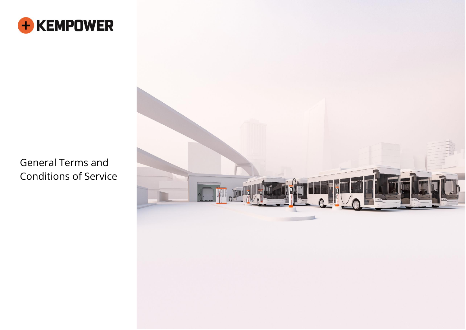

General Terms and Conditions of Service

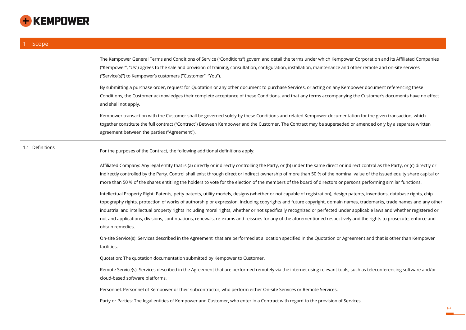

The Kempower General Terms and Conditions of Service ("Conditions") govern and detail the terms under which Kempower Corporation and its Affiliated Companies ("Kempower", "Us") agrees to the sale and provision of training, consultation, configuration, installation, maintenance and other remote and on-site services ("Service(s)") to Kempower's customers ("Customer", "You").

By submitting a purchase order, request for Quotation or any other document to purchase Services, or acting on any Kempower document referencing these Conditions, the Customer acknowledges their complete acceptance of these Conditions, and that any terms accompanying the Customer's documents have no effect and shall not apply.

Kempower transaction with the Customer shall be governed solely by these Conditions and related Kempower documentation for the given transaction, which together constitute the full contract ("Contract") Between Kempower and the Customer. The Contract may be superseded or amended only by a separate written agreement between the parties ("Agreement").

1.1 Definitions For the purposes of the Contract, the following additional definitions apply:

Affiliated Company: Any legal entity that is (a) directly or indirectly controlling the Party, or (b) under the same direct or indirect control as the Party, or (c) directly or indirectly controlled by the Party. Control shall exist through direct or indirect ownership of more than 50 % of the nominal value of the issued equity share capital or more than 50 % of the shares entitling the holders to vote for the election of the members of the board of directors or persons performing similar functions.

Intellectual Property Right: Patents, petty patents, utility models, designs (whether or not capable of registration), design patents, inventions, database rights, chip topography rights, protection of works of authorship or expression, including copyrights and future copyright, domain names, trademarks, trade names and any other industrial and intellectual property rights including moral rights, whether or not specifically recognized or perfected under applicable laws and whether registered or not and applications, divisions, continuations, renewals, re-exams and reissues for any of the aforementioned respectively and the rights to prosecute, enforce and obtain remedies.

On-site Service(s): Services described in the Agreement that are performed at a location specified in the Quotation or Agreement and that is other than Kempower facilities.

Quotation: The quotation documentation submitted by Kempower to Customer.

Remote Service(s): Services described in the Agreement that are performed remotely via the internet using relevant tools, such as teleconferencing software and/or cloud-based software platforms.

Personnel: Personnel of Kempower or their subcontractor, who perform either On-site Services or Remote Services.

Party or Parties: The legal entities of Kempower and Customer, who enter in a Contract with regard to the provision of Services.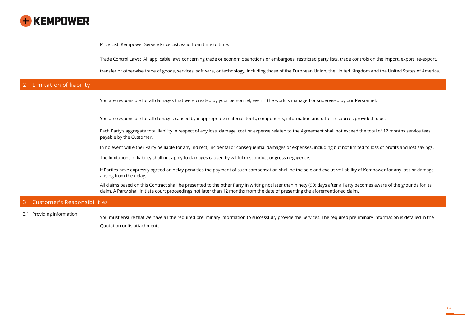

Price List: Kempower Service Price List, valid from time to time.

Trade Control Laws: All applicable laws concerning trade or economic sanctions or embargoes, restricted party lists, trade controls on the import, export, re-export,

transfer or otherwise trade of goods, services, software, or technology, including those of the European Union, the United Kingdom and the United States of America.

# **2 Limitation of liability**

You are responsible for all damages that were created by your personnel, even if the work is managed or supervised by our Personnel.

You are responsible for all damages caused by inappropriate material, tools, components, information and other resources provided to us.

Each Party's aggregate total liability in respect of any loss, damage, cost or expense related to the Agreement shall not exceed the total of 12 months service fees payable by the Customer.

In no event will either Party be liable for any indirect, incidental or consequential damages or expenses, including but not limited to loss of profits and lost savings.

The limitations of liability shall not apply to damages caused by willful misconduct or gross negligence.

If Parties have expressly agreed on delay penalties the payment of such compensation shall be the sole and exclusive liability of Kempower for any loss or damage arising from the delay.

All claims based on this Contract shall be presented to the other Party in writing not later than ninety (90) days after a Party becomes aware of the grounds for its claim. A Party shall initiate court proceedings not later than 12 months from the date of presenting the aforementioned claim.

## **3 Customer's Responsibilities**

3.1 Providing information You must ensure that we have all the required preliminary information to successfully provide the Services. The required preliminary information is detailed in the Quotation or its attachments.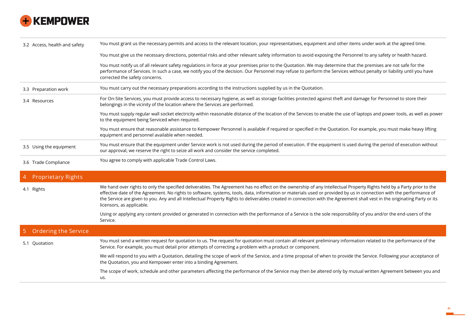

| 3.2 Access, health and safety | You must grant us the necessary permits and access to the relevant location, your representatives, equipment and other items under work at the agreed time.                                                                                                                                                                                                               |
|-------------------------------|---------------------------------------------------------------------------------------------------------------------------------------------------------------------------------------------------------------------------------------------------------------------------------------------------------------------------------------------------------------------------|
|                               | You must give us the necessary directions, potential risks and other relevant safety information to avoid exposing the Personnel to any safety or health hazard.                                                                                                                                                                                                          |
|                               | You must notify us of all relevant safety regulations in force at your premises prior to the Quotation. We may determine that the premises are not safe for the<br>performance of Services. In such a case, we notify you of the decision. Our Personnel may refuse to perform the Services without penalty or liability until you have<br>corrected the safety concerns. |
| 3.3 Preparation work          | You must carry out the necessary preparations according to the instructions supplied by us in the Quotation.                                                                                                                                                                                                                                                              |
| 3.4 Resources                 | For On-Site Services, you must provide access to necessary hygiene, as well as storage facilities protected against theft and damage for Personnel to store their<br>belongings in the vicinity of the location where the Services are performed.                                                                                                                         |
|                               | You must supply regular wall socket electricity within reasonable distance of the location of the Services to enable the use of laptops and power tools, as well as power<br>to the equipment being Serviced when required.                                                                                                                                               |
|                               | You must ensure that reasonable assistance to Kempower Personnel is available if required or specified in the Quotation. For example, you must make heavy lifting<br>equipment and personnel available when needed.                                                                                                                                                       |
| 3.5 Using the equipment       | You must ensure that the equipment under Service work is not used during the period of execution. If the equipment is used during the period of execution without<br>our approval, we reserve the right to seize all work and consider the service completed.                                                                                                             |
| 3.6 Trade Compliance          | You agree to comply with applicable Trade Control Laws.                                                                                                                                                                                                                                                                                                                   |
| <b>Proprietary Rights</b>     |                                                                                                                                                                                                                                                                                                                                                                           |
|                               | We hand over rights to only the specified deliverables. The Agreement bas no effect on the ownership of any Intellectual Preperty Pights hold by a Party prior to the                                                                                                                                                                                                     |

4.1 Rights We hand over rights to only the specified deliverables. The Agreement has no effect on the ownership of any Intellectual Property Rights held by a Party prior to the effective date of the Agreement. No rights to software, systems, tools, data, information or materials used or provided by us in connection with the performance of the Service are given to you. Any and all Intellectual Property Rights to deliverables created in connection with the Agreement shall vest in the originating Party or its licensors, as applicable.

> Using or applying any content provided or generated in connection with the performance of a Service is the sole responsibility of you and/or the end-users of the Service.

| 5 Ordering the Service |                                                                                                                                                                                                                                                                                 |
|------------------------|---------------------------------------------------------------------------------------------------------------------------------------------------------------------------------------------------------------------------------------------------------------------------------|
| 5.1 Quotation          | You must send a written request for quotation to us. The request for quotation must contain all relevant preliminary information related to the performance of the<br>Service. For example, you must detail prior attempts of correcting a problem with a product or component. |
|                        | We will respond to you with a Quotation, detailing the scope of work of the Service, and a time proposal of when to provide the Service. Following your acceptance of<br>the Quotation, you and Kempower enter into a binding Agreement.                                        |
|                        | The scope of work, schedule and other parameters affecting the performance of the Service may then be altered only by mutual written Agreement between you and<br>us.                                                                                                           |

**4**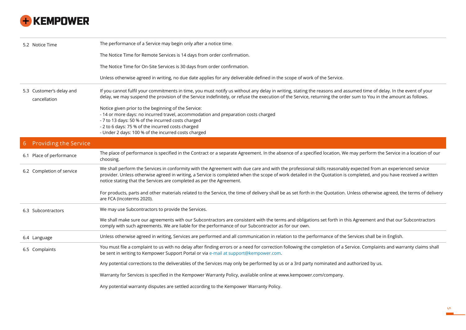

| 5.2 Notice Time                          | The performance of a Service may begin only after a notice time.                                                                                                                                                                                                                                                                                                                                             |
|------------------------------------------|--------------------------------------------------------------------------------------------------------------------------------------------------------------------------------------------------------------------------------------------------------------------------------------------------------------------------------------------------------------------------------------------------------------|
|                                          | The Notice Time for Remote Services is 14 days from order confirmation.                                                                                                                                                                                                                                                                                                                                      |
|                                          | The Notice Time for On-Site Services is 30 days from order confirmation.                                                                                                                                                                                                                                                                                                                                     |
|                                          | Unless otherwise agreed in writing, no due date applies for any deliverable defined in the scope of work of the Service.                                                                                                                                                                                                                                                                                     |
| 5.3 Customer's delay and<br>cancellation | If you cannot fulfil your commitments in time, you must notify us without any delay in writing, stating the reasons and assumed time of delay. In the event of your<br>delay, we may suspend the provision of the Service indefinitely, or refuse the execution of the Service, returning the order sum to You in the amount as follows.                                                                     |
|                                          | Notice given prior to the beginning of the Service:<br>- 14 or more days: no incurred travel, accommodation and preparation costs charged<br>- 7 to 13 days: 50 % of the incurred costs charged<br>- 2 to 6 days: 75 % of the incurred costs charged<br>- Under 2 days: 100 % of the incurred costs charged                                                                                                  |
| <b>Providing the Service</b><br>6        |                                                                                                                                                                                                                                                                                                                                                                                                              |
| 6.1 Place of performance                 | The place of performance is specified in the Contract or a separate Agreement. In the absence of a specified location, We may perform the Service in a location of our<br>choosing.                                                                                                                                                                                                                          |
| 6.2 Completion of service                | We shall perform the Services in conformity with the Agreement with due care and with the professional skills reasonably expected from an experienced service<br>provider. Unless otherwise agreed in writing, a Service is completed when the scope of work detailed in the Quotation is completed, and you have received a written<br>notice stating that the Services are completed as per the Agreement. |
|                                          | For products, parts and other materials related to the Service, the time of delivery shall be as set forth in the Quotation. Unless otherwise agreed, the terms of delivery<br>are FCA (Incoterms 2020).                                                                                                                                                                                                     |
| 6.3 Subcontractors                       | We may use Subcontractors to provide the Services.                                                                                                                                                                                                                                                                                                                                                           |
|                                          | We shall make sure our agreements with our Subcontractors are consistent with the terms and obligations set forth in this Agreement and that our Subcontractors<br>comply with such agreements. We are liable for the performance of our Subcontractor as for our own.                                                                                                                                       |
| 6.4 Language                             | Unless otherwise agreed in writing, Services are performed and all communication in relation to the performance of the Services shall be in English.                                                                                                                                                                                                                                                         |
| 6.5 Complaints                           | You must file a complaint to us with no delay after finding errors or a need for correction following the completion of a Service. Complaints and warranty claims shall<br>be sent in writing to Kempower Support Portal or via e-mail at support@kempower.com.                                                                                                                                              |
|                                          | Any potential corrections to the deliverables of the Services may only be performed by us or a 3rd party nominated and authorized by us.                                                                                                                                                                                                                                                                     |
|                                          | Warranty for Services is specified in the Kempower Warranty Policy, available online at www.kempower.com/company.                                                                                                                                                                                                                                                                                            |
|                                          | Any potential warranty disputes are settled according to the Kempower Warranty Policy.                                                                                                                                                                                                                                                                                                                       |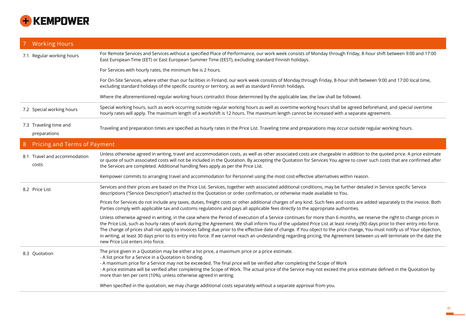

| <b>Working Hours</b>                   |                                                                                                                                                                                                                                                                                                                                                                                                                                                                                                                                                                                                                                                                                                                                                        |
|----------------------------------------|--------------------------------------------------------------------------------------------------------------------------------------------------------------------------------------------------------------------------------------------------------------------------------------------------------------------------------------------------------------------------------------------------------------------------------------------------------------------------------------------------------------------------------------------------------------------------------------------------------------------------------------------------------------------------------------------------------------------------------------------------------|
| 7.1 Regular working hours              | For Remote Services and Services without a specified Place of Performance, our work week consists of Monday through Friday, 8-hour shift between 9:00 and 17:00<br>East European Time (EET) or East European Summer Time (EEST), excluding standard Finnish holidays.                                                                                                                                                                                                                                                                                                                                                                                                                                                                                  |
|                                        | For Services with hourly rates, the minimum fee is 2 hours.                                                                                                                                                                                                                                                                                                                                                                                                                                                                                                                                                                                                                                                                                            |
|                                        | For On-Site Services, where other than our facilities in Finland, our work week consists of Monday through Friday, 8-hour shift between 9:00 and 17:00 local time,<br>excluding standard holidays of the specific country or territory, as well as standard Finnish holidays.                                                                                                                                                                                                                                                                                                                                                                                                                                                                          |
|                                        | Where the aforementioned regular working hours contradict those determined by the applicable law, the law shall be followed.                                                                                                                                                                                                                                                                                                                                                                                                                                                                                                                                                                                                                           |
| 7.2 Special working hours              | Special working hours, such as work occurring outside regular working hours as well as overtime working hours shall be agreed beforehand, and special overtime<br>hourly rates will apply. The maximum length of a workshift is 12 hours. The maximum length cannot be increased with a separate agreement.                                                                                                                                                                                                                                                                                                                                                                                                                                            |
| 7.3 Traveling time and<br>preparations | Traveling and preparation times are specified as hourly rates in the Price List. Traveling time and preparations may occur outside regular working hours.                                                                                                                                                                                                                                                                                                                                                                                                                                                                                                                                                                                              |
| Pricing and Terms of Payment<br>8      |                                                                                                                                                                                                                                                                                                                                                                                                                                                                                                                                                                                                                                                                                                                                                        |
| 8.1 Travel and accommodation<br>costs  | Unless otherwise agreed in writing, travel and accommodation costs, as well as other associated costs are chargeable in addition to the quoted price. A price estimate<br>or quote of such associated costs will not be included in the Quotation. By accepting the Quotation for Services You agree to cover such costs that are confirmed after<br>the Services are completed. Additional handling fees apply as per the Price List.                                                                                                                                                                                                                                                                                                                 |
|                                        | Kempower commits to arranging travel and accommodation for Personnel using the most cost-effective alternatives within reason.                                                                                                                                                                                                                                                                                                                                                                                                                                                                                                                                                                                                                         |
| 8.2 Price List                         | Services and their prices are based on the Price List. Services, together with associated additional conditions, may be further detailed in Service specific Service<br>descriptions ("Service Description") attached to the Quotation or order confirmation, or otherwise made available to You.                                                                                                                                                                                                                                                                                                                                                                                                                                                      |
|                                        | Prices for Services do not include any taxes, duties, freight costs or other additional charges of any kind. Such fees and costs are added separately to the invoice. Both<br>Parties comply with applicable tax and customs regulations and pays all applicable fees directly to the appropriate authorities.                                                                                                                                                                                                                                                                                                                                                                                                                                         |
|                                        | Unless otherwise agreed in writing, in the case where the Period of execution of a Service continues for more than 6 months, we reserve the right to change prices in<br>the Price List, such as hourly rates of work during the Agreement. We shall inform You of the updated Price List at least ninety (90) days prior to their entry into force.<br>The change of prices shall not apply to invoices falling due prior to the effective date of change. If You object to the price change, You must notify us of Your objection,<br>in writing, at least 30 days prior to its entry into force. If we cannot reach an undestanding regarding pricing, the Agreement between us will terminate on the date the<br>new Price List enters into force. |
| 8.3 Quotation                          | The price given in a Quotation may be either a list price, a maximum price or a price estimate.<br>- A list price for a Service in a Quotation is binding.<br>- A maximum price for a Service may not be exceeded. The final price will be verified after completing the Scope of Work<br>- A price estimate will be verified after completing the Scope of Work. The actual price of the Service may not exceed the price estimate defined in the Quotation by<br>more than ten per cent (10%), unless otherwise agreed in writing.                                                                                                                                                                                                                   |

When specified in the quotation, we may charge additional costs separately without a separate approval from you.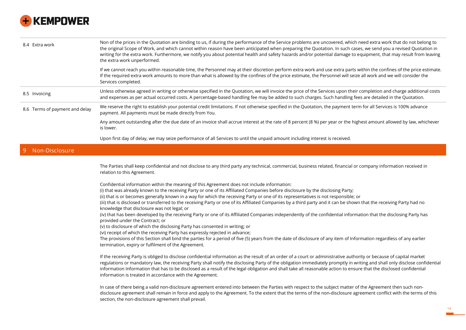

| 8.4 Extra work                 | Non of the prices in the Quotation are binding to us, if during the performance of the Service problems are uncovered, which need extra work that do not belong to<br>the original Scope of Work, and which cannot within reason have been anticipated when preparing the Quotation. In such cases, we send you a revised Quotation in<br>writing for the extra work. Furthermore, we notify you about potential health and safety hazards and/or potential damage to equipment, that may result from leaving<br>the extra work unperformed.                                                                                                                                                                                                                                                                                                                                                                                                                                                                                                                                                                                                                                                           |
|--------------------------------|--------------------------------------------------------------------------------------------------------------------------------------------------------------------------------------------------------------------------------------------------------------------------------------------------------------------------------------------------------------------------------------------------------------------------------------------------------------------------------------------------------------------------------------------------------------------------------------------------------------------------------------------------------------------------------------------------------------------------------------------------------------------------------------------------------------------------------------------------------------------------------------------------------------------------------------------------------------------------------------------------------------------------------------------------------------------------------------------------------------------------------------------------------------------------------------------------------|
|                                | If we cannot reach you within reasonable time, the Personnel may at their discretion perform extra work and use extra parts within the confines of the price estimate.<br>If the required extra work amounts to more than what is allowed by the confines of the price estimate, the Personnel will seize all work and we will consider the<br>Services completed.                                                                                                                                                                                                                                                                                                                                                                                                                                                                                                                                                                                                                                                                                                                                                                                                                                     |
| 8.5 Invoicing                  | Unless otherwise agreed in writing or otherwise specified in the Quotation, we will invoice the price of the Services upon their completion and charge additional costs<br>and expenses as per actual occurred costs. A percentage-based handling fee may be added to such charges. Such handling fees are detailed in the Quotation.                                                                                                                                                                                                                                                                                                                                                                                                                                                                                                                                                                                                                                                                                                                                                                                                                                                                  |
| 8.6 Terms of payment and delay | We reserve the right to establish your potential credit limitations. If not otherwise specified in the Quotation, the payment term for all Services is 100% advance<br>payment. All payments must be made directly from You.                                                                                                                                                                                                                                                                                                                                                                                                                                                                                                                                                                                                                                                                                                                                                                                                                                                                                                                                                                           |
|                                | Any amount outstanding after the due date of an invoice shall accrue interest at the rate of 8 percent (8 %) per year or the highest amount allowed by law, whichever<br>is lower.                                                                                                                                                                                                                                                                                                                                                                                                                                                                                                                                                                                                                                                                                                                                                                                                                                                                                                                                                                                                                     |
|                                | Upon first day of delay, we may seize performance of all Services to until the unpaid amount including interest is received.                                                                                                                                                                                                                                                                                                                                                                                                                                                                                                                                                                                                                                                                                                                                                                                                                                                                                                                                                                                                                                                                           |
| Non-Disclosure                 |                                                                                                                                                                                                                                                                                                                                                                                                                                                                                                                                                                                                                                                                                                                                                                                                                                                                                                                                                                                                                                                                                                                                                                                                        |
|                                | The Parties shall keep confidential and not disclose to any third party any technical, commercial, business related, financial or company information received in<br>relation to this Agreement.                                                                                                                                                                                                                                                                                                                                                                                                                                                                                                                                                                                                                                                                                                                                                                                                                                                                                                                                                                                                       |
|                                | Confidential information within the meaning of this Agreement does not include information:<br>(i) that was already known to the receiving Party or one of its Affiliated Companies before disclosure by the disclosing Party;<br>(ii) that is or becomes generally known in a way for which the receiving Party or one of its representatives is not responsible; or<br>(iii) that is disclosed or transferred to the receiving Party or one of its Affiliated Companies by a third party and it can be shown that the receiving Party had no<br>knowledge that disclosure was not legal; or<br>(iv) that has been developed by the receiving Party or one of its Affiliated Companies independently of the confidential information that the disclosing Party has<br>provided under the Contract; or<br>(v) to disclosure of which the disclosing Party has consented in writing; or<br>(vi) receipt of which the receiving Party has expressly rejected in advance;<br>The provisions of this Section shall bind the parties for a period of five (5) years from the date of disclosure of any item of Information regardless of any earlier<br>termination, expiry or fulfilment of the Agreement. |
|                                | If the receiving Party is obliged to disclose confidential information as the result of an order of a court or administrative authority or because of capital market<br>regulations or mandatory law, the receiving Party shall notify the disclosing Party of the obligation immediately promptly in writing and shall only disclose confidential<br>information Information that has to be disclosed as a result of the legal obligation and shall take all reasonable action to ensure that the disclosed confidential<br>information is treated in accordance with the Agreement.                                                                                                                                                                                                                                                                                                                                                                                                                                                                                                                                                                                                                  |

In case of there being a valid non-disclosure agreement entered into between the Parties with respect to the subject matter of the Agreement then such nondisclosure agreement shall remain in force and apply to the Agreement. To the extent that the terms of the non-disclosure agreement conflict with the terms of this section, the non-disclosure agreement shall prevail.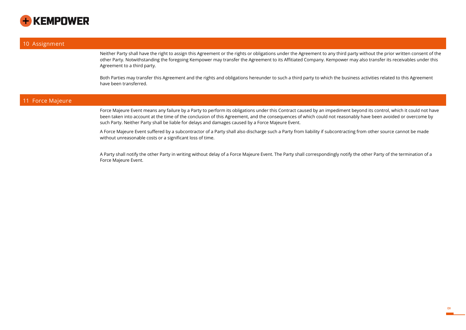

#### **10 Assignment**

Neither Party shall have the right to assign this Agreement or the rights or obligations under the Agreement to any third party without the prior written consent of the other Party. Notwithstanding the foregoing Kempower may transfer the Agreement to its Affitiated Company. Kempower may also transfer its receivables under this Agreement to a third party.

Both Parties may transfer this Agreement and the rights and obligations hereunder to such a third party to which the business activities related to this Agreement have been transferred.

## **11 Force Majeure**

Force Majeure Event means any failure by a Party to perform its obligations under this Contract caused by an impediment beyond its control, which it could not have been taken into account at the time of the conclusion of this Agreement, and the consequences of which could not reasonably have been avoided or overcome by such Party. Neither Party shall be liable for delays and damages caused by a Force Majeure Event.

A Force Majeure Event suffered by a subcontractor of a Party shall also discharge such a Party from liability if subcontracting from other source cannot be made without unreasonable costs or a significant loss of time.

A Party shall notify the other Party in writing without delay of a Force Majeure Event. The Party shall correspondingly notify the other Party of the termination of a Force Majeure Event.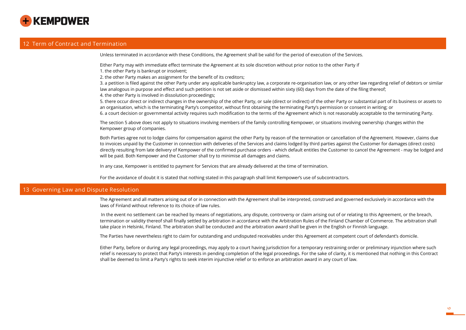

## **12 Term of Contract and Termination**

Unless terminated in accordance with these Conditions, the Agreement shall be valid for the period of execution of the Services.

Either Party may with immediate effect terminate the Agreement at its sole discretion without prior notice to the other Party if

1. the other Party is bankrupt or insolvent;

2. the other Party makes an assignment for the benefit of its creditors;

3. a petition is filed against the other Party under any applicable bankruptcy law, a corporate re-organisation law, or any other law regarding relief of debtors or similar law analogous in purpose and effect and such petition is not set aside or dismissed within sixty (60) days from the date of the filing thereof; 4. the other Party is involved in dissolution proceedings;

5. there occur direct or indirect changes in the ownership of the other Party, or sale (direct or indirect) of the other Party or substantial part of its business or assets to an organisation, which is the terminating Party's competitor, without first obtaining the terminating Party's permission or consent in writing; or 6. a court decision or governmental activity requires such modification to the terms of the Agreement which is not reasonably acceptable to the terminating Party.

The section 5 above does not apply to situations involving members of the family controlling Kempower, or situations involving ownership changes within the Kempower group of companies.

Both Parties agree not to lodge claims for compensation against the other Party by reason of the termination or cancellation of the Agreement. However, claims due to invoices unpaid by the Customer in connection with deliveries of the Services and claims lodged by third parties against the Customer for damages (direct costs) directly resulting from late delivery of Kempower of the confirmed purchase orders - which default entitles the Customer to cancel the Agreement - may be lodged and will be paid. Both Kempower and the Customer shall try to minimise all damages and claims.

In any case, Kempower is entitled to payment for Services that are already delivered at the time of termination.

For the avoidance of doubt it is stated that nothing stated in this paragraph shall limit Kempower's use of subcontractors.

#### **13 Governing Law and Dispute Resolution**

The Agreement and all matters arising out of or in connection with the Agreement shall be interpreted, construed and governed exclusively in accordance with the laws of Finland without reference to its choice of law rules.

In the event no settlement can be reached by means of negotiations, any dispute, controversy or claim arising out of or relating to this Agreement, or the breach, termination or validity thereof shall finally settled by arbitration in accordance with the Arbitration Rules of the Finland Chamber of Commerce. The arbitration shall take place in Helsinki, Finland. The arbitration shall be conducted and the arbitration award shall be given in the English or Finnish language.

The Parties have nevertheless right to claim for outstanding and undisputed receivables under this Agreement at competent court of defendant's domicile.

Either Party, before or during any legal proceedings, may apply to a court having jurisdiction for a temporary restraining order or preliminary injunction where such relief is necessary to protect that Party's interests in pending completion of the legal proceedings. For the sake of clarity, it is mentioned that nothing in this Contract shall be deemed to limit a Party's rights to seek interim injunctive relief or to enforce an arbitration award in any court of law.